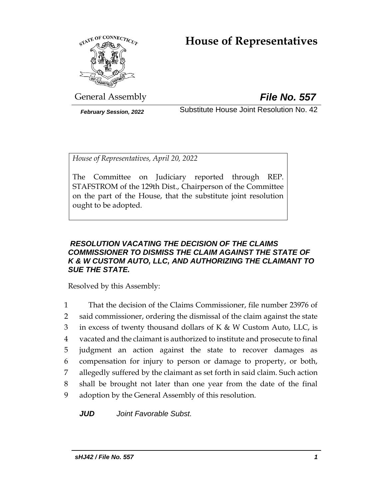# **House of Representatives**



General Assembly *File No. 557*

*February Session, 2022* Substitute House Joint Resolution No. 42

*House of Representatives, April 20, 2022*

The Committee on Judiciary reported through REP. STAFSTROM of the 129th Dist., Chairperson of the Committee on the part of the House, that the substitute joint resolution ought to be adopted.

## *RESOLUTION VACATING THE DECISION OF THE CLAIMS COMMISSIONER TO DISMISS THE CLAIM AGAINST THE STATE OF K & W CUSTOM AUTO, LLC, AND AUTHORIZING THE CLAIMANT TO SUE THE STATE.*

Resolved by this Assembly:

 That the decision of the Claims Commissioner, file number 23976 of said commissioner, ordering the dismissal of the claim against the state 3 in excess of twenty thousand dollars of  $K & W$  Custom Auto, LLC, is vacated and the claimant is authorized to institute and prosecute to final judgment an action against the state to recover damages as compensation for injury to person or damage to property, or both, allegedly suffered by the claimant as set forth in said claim. Such action shall be brought not later than one year from the date of the final adoption by the General Assembly of this resolution.

*JUD Joint Favorable Subst.*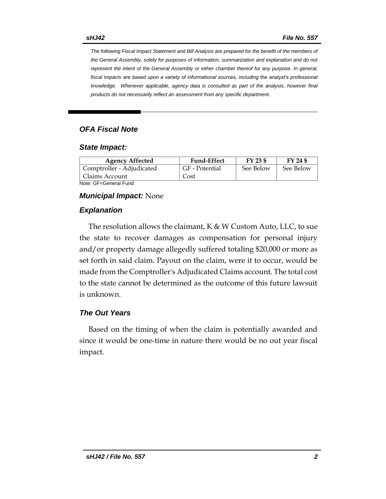*The following Fiscal Impact Statement and Bill Analysis are prepared for the benefit of the members of the General Assembly, solely for purposes of information, summarization and explanation and do not represent the intent of the General Assembly or either chamber thereof for any purpose. In general, fiscal impacts are based upon a variety of informational sources, including the analyst's professional knowledge. Whenever applicable, agency data is consulted as part of the analysis, however final products do not necessarily reflect an assessment from any specific department.*

## *OFA Fiscal Note*

#### *State Impact:*

| <b>Agency Affected</b>    | <b>Fund-Effect</b> | FY 23 \$  | FY 24 \$  |
|---------------------------|--------------------|-----------|-----------|
| Comptroller - Adjudicated | GF - Potential     | See Below | See Below |
| Claims Account            | Cost               |           |           |
|                           |                    |           |           |

Note: GF=General Fund

#### *Municipal Impact:* None

#### *Explanation*

The resolution allows the claimant,  $K \& W$  Custom Auto, LLC, to sue the state to recover damages as compensation for personal injury and/or property damage allegedly suffered totaling \$20,000 or more as set forth in said claim. Payout on the claim, were it to occur, would be made from the Comptroller's Adjudicated Claims account. The total cost to the state cannot be determined as the outcome of this future lawsuit is unknown.

### *The Out Years*

Based on the timing of when the claim is potentially awarded and since it would be one-time in nature there would be no out year fiscal impact.